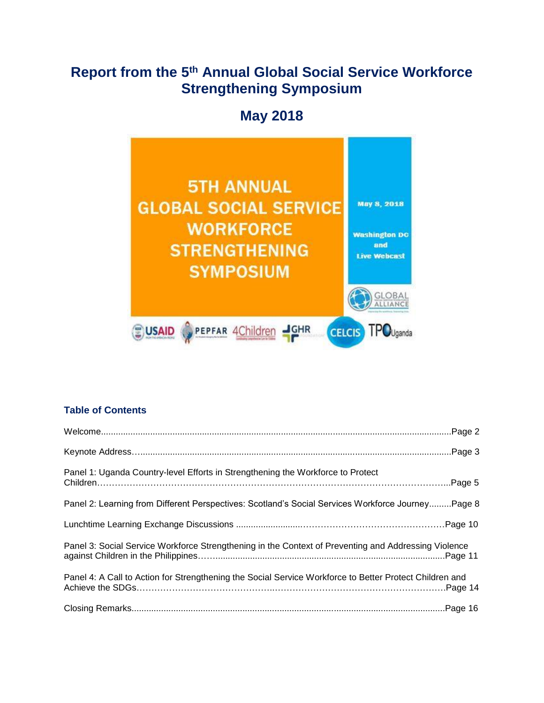# **Report from the 5th Annual Global Social Service Workforce Strengthening Symposium**

# **May 2018**



# **Table of Contents**

| Panel 1: Uganda Country-level Efforts in Strengthening the Workforce to Protect                         |  |
|---------------------------------------------------------------------------------------------------------|--|
| Panel 2: Learning from Different Perspectives: Scotland's Social Services Workforce Journey Page 8      |  |
|                                                                                                         |  |
| Panel 3: Social Service Workforce Strengthening in the Context of Preventing and Addressing Violence    |  |
| Panel 4: A Call to Action for Strengthening the Social Service Workforce to Better Protect Children and |  |
|                                                                                                         |  |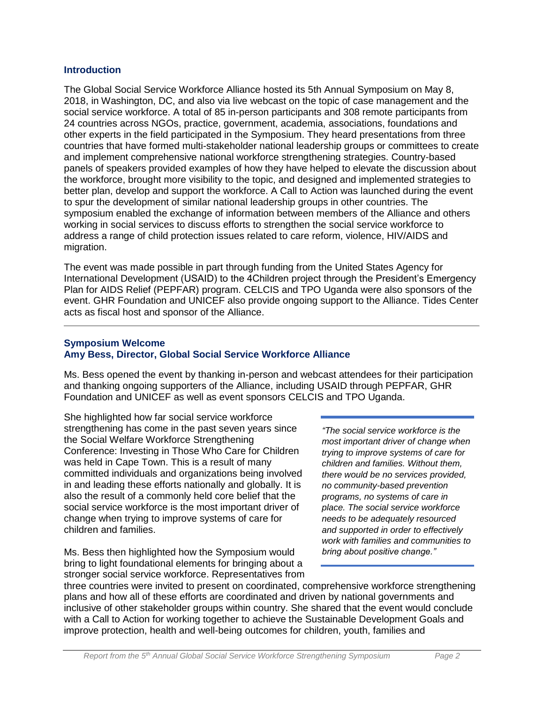#### **Introduction**

The Global Social Service Workforce Alliance hosted its 5th Annual Symposium on May 8, 2018, in Washington, DC, and also via live webcast on the topic of case management and the social service workforce. A total of 85 in-person participants and 308 remote participants from 24 countries across NGOs, practice, government, academia, associations, foundations and other experts in the field participated in the Symposium. They heard presentations from three countries that have formed multi-stakeholder national leadership groups or committees to create and implement comprehensive national workforce strengthening strategies. Country-based panels of speakers provided examples of how they have helped to elevate the discussion about the workforce, brought more visibility to the topic, and designed and implemented strategies to better plan, develop and support the workforce. A Call to Action was launched during the event to spur the development of similar national leadership groups in other countries. The symposium enabled the exchange of information between members of the Alliance and others working in social services to discuss efforts to strengthen the social service workforce to address a range of child protection issues related to care reform, violence, HIV/AIDS and migration.

The event was made possible in part through funding from the United States Agency for International Development (USAID) to the 4Children project through the President's Emergency Plan for AIDS Relief (PEPFAR) program. CELCIS and TPO Uganda were also sponsors of the event. GHR Foundation and UNICEF also provide ongoing support to the Alliance. Tides Center acts as fiscal host and sponsor of the Alliance.

# **Symposium Welcome Amy Bess, Director, Global Social Service Workforce Alliance**

Ms. Bess opened the event by thanking in-person and webcast attendees for their participation and thanking ongoing supporters of the Alliance, including USAID through PEPFAR, GHR Foundation and UNICEF as well as event sponsors CELCIS and TPO Uganda.

She highlighted how far social service workforce strengthening has come in the past seven years since the Social Welfare Workforce Strengthening Conference: Investing in Those Who Care for Children was held in Cape Town. This is a result of many committed individuals and organizations being involved in and leading these efforts nationally and globally. It is also the result of a commonly held core belief that the social service workforce is the most important driver of change when trying to improve systems of care for children and families.

Ms. Bess then highlighted how the Symposium would bring to light foundational elements for bringing about a stronger social service workforce. Representatives from

*"The social service workforce is the most important driver of change when trying to improve systems of care for children and families. Without them, there would be no services provided, no community-based prevention programs, no systems of care in place. The social service workforce needs to be adequately resourced and supported in order to effectively work with families and communities to bring about positive change."*

three countries were invited to present on coordinated, comprehensive workforce strengthening plans and how all of these efforts are coordinated and driven by national governments and inclusive of other stakeholder groups within country. She shared that the event would conclude with a Call to Action for working together to achieve the Sustainable Development Goals and improve protection, health and well-being outcomes for children, youth, families and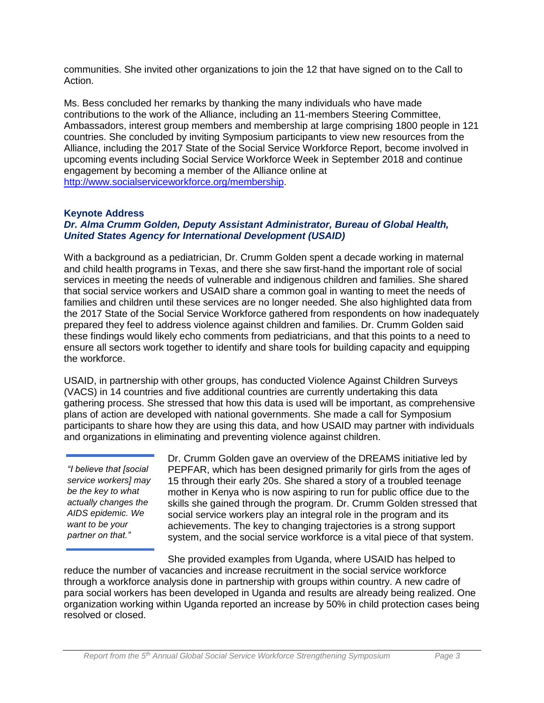communities. She invited other organizations to join the 12 that have signed on to the Call to Action.

Ms. Bess concluded her remarks by thanking the many individuals who have made contributions to the work of the Alliance, including an 11-members Steering Committee, Ambassadors, interest group members and membership at large comprising 1800 people in 121 countries. She concluded by inviting Symposium participants to view new resources from the Alliance, including the 2017 State of the Social Service Workforce Report, become involved in upcoming events including Social Service Workforce Week in September 2018 and continue engagement by becoming a member of the Alliance online at [http://www.socialserviceworkforce.org/membership.](http://www.socialserviceworkforce.org/membership)

# **Keynote Address**

# *Dr. Alma Crumm Golden, Deputy Assistant Administrator, Bureau of Global Health, United States Agency for International Development (USAID)*

With a background as a pediatrician, Dr. Crumm Golden spent a decade working in maternal and child health programs in Texas, and there she saw first-hand the important role of social services in meeting the needs of vulnerable and indigenous children and families. She shared that social service workers and USAID share a common goal in wanting to meet the needs of families and children until these services are no longer needed. She also highlighted data from the 2017 State of the Social Service Workforce gathered from respondents on how inadequately prepared they feel to address violence against children and families. Dr. Crumm Golden said these findings would likely echo comments from pediatricians, and that this points to a need to ensure all sectors work together to identify and share tools for building capacity and equipping the workforce.

USAID, in partnership with other groups, has conducted Violence Against Children Surveys (VACS) in 14 countries and five additional countries are currently undertaking this data gathering process. She stressed that how this data is used will be important, as comprehensive plans of action are developed with national governments. She made a call for Symposium participants to share how they are using this data, and how USAID may partner with individuals and organizations in eliminating and preventing violence against children.

*"I believe that [social service workers] may be the key to what actually changes the AIDS epidemic. We want to be your partner on that."*

Dr. Crumm Golden gave an overview of the DREAMS initiative led by PEPFAR, which has been designed primarily for girls from the ages of 15 through their early 20s. She shared a story of a troubled teenage mother in Kenya who is now aspiring to run for public office due to the skills she gained through the program. Dr. Crumm Golden stressed that social service workers play an integral role in the program and its achievements. The key to changing trajectories is a strong support system, and the social service workforce is a vital piece of that system.

She provided examples from Uganda, where USAID has helped to reduce the number of vacancies and increase recruitment in the social service workforce through a workforce analysis done in partnership with groups within country. A new cadre of para social workers has been developed in Uganda and results are already being realized. One organization working within Uganda reported an increase by 50% in child protection cases being resolved or closed.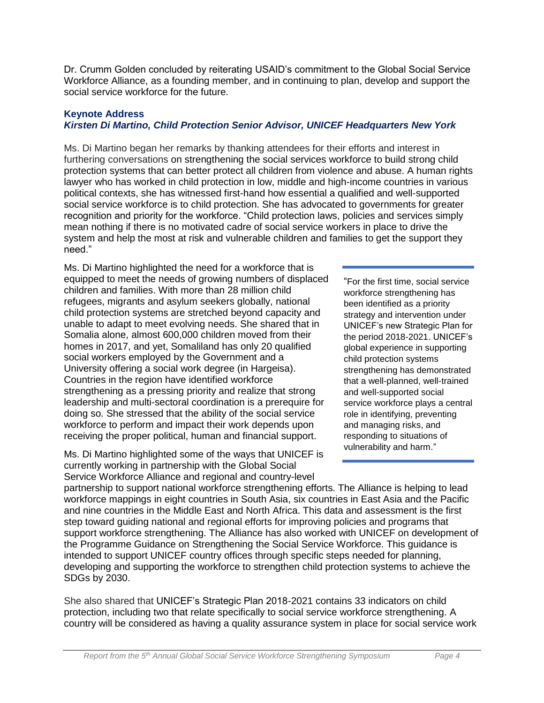Dr. Crumm Golden concluded by reiterating USAID's commitment to the Global Social Service Workforce Alliance, as a founding member, and in continuing to plan, develop and support the social service workforce for the future.

#### **Keynote Address** *Kirsten Di Martino, Child Protection Senior Advisor, UNICEF Headquarters New York*

Ms. Di Martino began her remarks by thanking attendees for their efforts and interest in furthering conversations on strengthening the social services workforce to build strong child protection systems that can better protect all children from violence and abuse. A human rights lawyer who has worked in child protection in low, middle and high-income countries in various political contexts, she has witnessed first-hand how essential a qualified and well-supported social service workforce is to child protection. She has advocated to governments for greater recognition and priority for the workforce. "Child protection laws, policies and services simply mean nothing if there is no motivated cadre of social service workers in place to drive the system and help the most at risk and vulnerable children and families to get the support they need."

Ms. Di Martino highlighted the need for a workforce that is equipped to meet the needs of growing numbers of displaced children and families. With more than 28 million child refugees, migrants and asylum seekers globally, national child protection systems are stretched beyond capacity and unable to adapt to meet evolving needs. She shared that in Somalia alone, almost 600,000 children moved from their homes in 2017, and yet, Somaliland has only 20 qualified social workers employed by the Government and a University offering a social work degree (in Hargeisa). Countries in the region have identified workforce strengthening as a pressing priority and realize that strong leadership and multi-sectoral coordination is a prerequire for doing so. She stressed that the ability of the social service workforce to perform and impact their work depends upon receiving the proper political, human and financial support.

Ms. Di Martino highlighted some of the ways that UNICEF is currently working in partnership with the Global Social Service Workforce Alliance and regional and country-level

"For the first time, social service workforce strengthening has been identified as a priority strategy and intervention under UNICEF's new Strategic Plan for the period 2018-2021. UNICEF's global experience in supporting child protection systems strengthening has demonstrated that a well-planned, well-trained and well-supported social service workforce plays a central role in identifying, preventing and managing risks, and responding to situations of vulnerability and harm."

partnership to support national workforce strengthening efforts. The Alliance is helping to lead workforce mappings in eight countries in South Asia, six countries in East Asia and the Pacific and nine countries in the Middle East and North Africa. This data and assessment is the first step toward guiding national and regional efforts for improving policies and programs that support workforce strengthening. The Alliance has also worked with UNICEF on development of the Programme Guidance on Strengthening the Social Service Workforce. This guidance is intended to support UNICEF country offices through specific steps needed for planning, developing and supporting the workforce to strengthen child protection systems to achieve the SDGs by 2030.

She also shared that UNICEF's Strategic Plan 2018-2021 contains 33 indicators on child protection, including two that relate specifically to social service workforce strengthening. A country will be considered as having a quality assurance system in place for social service work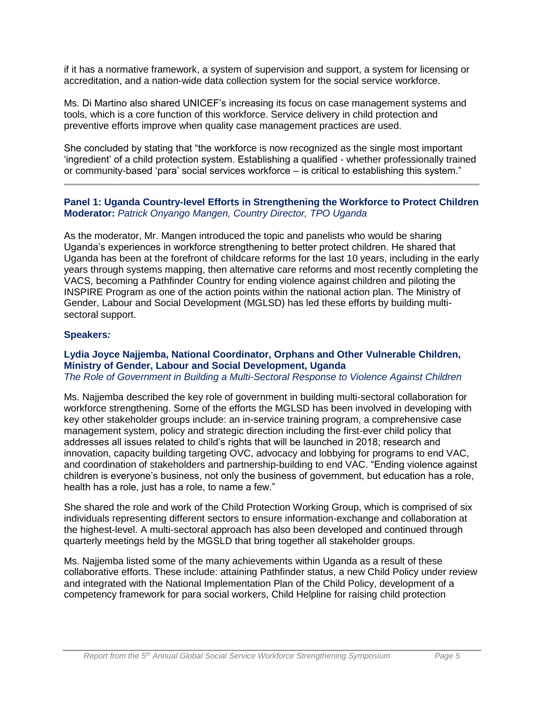if it has a normative framework, a system of supervision and support, a system for licensing or accreditation, and a nation-wide data collection system for the social service workforce.

Ms. Di Martino also shared UNICEF's increasing its focus on case management systems and tools, which is a core function of this workforce. Service delivery in child protection and preventive efforts improve when quality case management practices are used.

She concluded by stating that "the workforce is now recognized as the single most important 'ingredient' of a child protection system. Establishing a qualified - whether professionally trained or community-based 'para' social services workforce – is critical to establishing this system."

### **Panel 1: Uganda Country-level Efforts in Strengthening the Workforce to Protect Children Moderator:** *Patrick Onyango Mangen, Country Director, TPO Uganda*

As the moderator, Mr. Mangen introduced the topic and panelists who would be sharing Uganda's experiences in workforce strengthening to better protect children. He shared that Uganda has been at the forefront of childcare reforms for the last 10 years, including in the early years through systems mapping, then alternative care reforms and most recently completing the VACS, becoming a Pathfinder Country for ending violence against children and piloting the INSPIRE Program as one of the action points within the national action plan. The Ministry of Gender, Labour and Social Development (MGLSD) has led these efforts by building multisectoral support.

# **Speakers***:*

# **Lydia Joyce Najjemba, National Coordinator, Orphans and Other Vulnerable Children, Ministry of Gender, Labour and Social Development, Uganda**

*The Role of Government in Building a Multi-Sectoral Response to Violence Against Children* 

Ms. Najjemba described the key role of government in building multi-sectoral collaboration for workforce strengthening. Some of the efforts the MGLSD has been involved in developing with key other stakeholder groups include: an in-service training program, a comprehensive case management system, policy and strategic direction including the first-ever child policy that addresses all issues related to child's rights that will be launched in 2018; research and innovation, capacity building targeting OVC, advocacy and lobbying for programs to end VAC, and coordination of stakeholders and partnership-building to end VAC. "Ending violence against children is everyone's business, not only the business of government, but education has a role, health has a role, just has a role, to name a few."

She shared the role and work of the Child Protection Working Group, which is comprised of six individuals representing different sectors to ensure information-exchange and collaboration at the highest-level. A multi-sectoral approach has also been developed and continued through quarterly meetings held by the MGSLD that bring together all stakeholder groups.

Ms. Najjemba listed some of the many achievements within Uganda as a result of these collaborative efforts. These include: attaining Pathfinder status, a new Child Policy under review and integrated with the National Implementation Plan of the Child Policy, development of a competency framework for para social workers, Child Helpline for raising child protection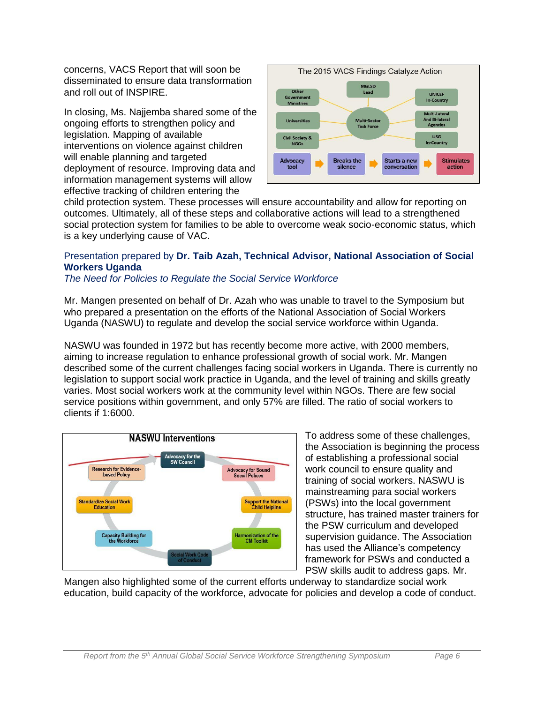concerns, VACS Report that will soon be disseminated to ensure data transformation and roll out of INSPIRE.

In closing, Ms. Najjemba shared some of the ongoing efforts to strengthen policy and legislation. Mapping of available interventions on violence against children will enable planning and targeted deployment of resource. Improving data and information management systems will allow effective tracking of children entering the



child protection system. These processes will ensure accountability and allow for reporting on outcomes. Ultimately, all of these steps and collaborative actions will lead to a strengthened social protection system for families to be able to overcome weak socio-economic status, which is a key underlying cause of VAC.

# Presentation prepared by **Dr. Taib Azah, Technical Advisor, National Association of Social Workers Uganda**

*The Need for Policies to Regulate the Social Service Workforce*

Mr. Mangen presented on behalf of Dr. Azah who was unable to travel to the Symposium but who prepared a presentation on the efforts of the National Association of Social Workers Uganda (NASWU) to regulate and develop the social service workforce within Uganda.

NASWU was founded in 1972 but has recently become more active, with 2000 members, aiming to increase regulation to enhance professional growth of social work. Mr. Mangen described some of the current challenges facing social workers in Uganda. There is currently no legislation to support social work practice in Uganda, and the level of training and skills greatly varies. Most social workers work at the community level within NGOs. There are few social service positions within government, and only 57% are filled. The ratio of social workers to clients if 1:6000.



To address some of these challenges, the Association is beginning the process of establishing a professional social work council to ensure quality and training of social workers. NASWU is mainstreaming para social workers (PSWs) into the local government structure, has trained master trainers for the PSW curriculum and developed supervision guidance. The Association has used the Alliance's competency framework for PSWs and conducted a PSW skills audit to address gaps. Mr.

Mangen also highlighted some of the current efforts underway to standardize social work education, build capacity of the workforce, advocate for policies and develop a code of conduct.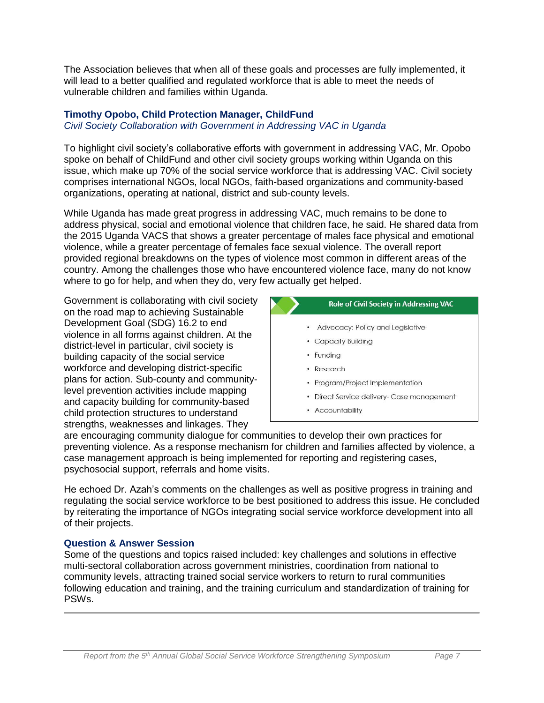The Association believes that when all of these goals and processes are fully implemented, it will lead to a better qualified and regulated workforce that is able to meet the needs of vulnerable children and families within Uganda.

# **Timothy Opobo, Child Protection Manager, ChildFund**

*Civil Society Collaboration with Government in Addressing VAC in Uganda*

To highlight civil society's collaborative efforts with government in addressing VAC, Mr. Opobo spoke on behalf of ChildFund and other civil society groups working within Uganda on this issue, which make up 70% of the social service workforce that is addressing VAC. Civil society comprises international NGOs, local NGOs, faith-based organizations and community-based organizations, operating at national, district and sub-county levels.

While Uganda has made great progress in addressing VAC, much remains to be done to address physical, social and emotional violence that children face, he said. He shared data from the 2015 Uganda VACS that shows a greater percentage of males face physical and emotional violence, while a greater percentage of females face sexual violence. The overall report provided regional breakdowns on the types of violence most common in different areas of the country. Among the challenges those who have encountered violence face, many do not know where to go for help, and when they do, very few actually get helped.

Government is collaborating with civil society on the road map to achieving Sustainable Development Goal (SDG) 16.2 to end violence in all forms against children. At the district-level in particular, civil society is building capacity of the social service workforce and developing district-specific plans for action. Sub-county and communitylevel prevention activities include mapping and capacity building for community-based child protection structures to understand strengths, weaknesses and linkages. They



• Accountability

are encouraging community dialogue for communities to develop their own practices for preventing violence. As a response mechanism for children and families affected by violence, a case management approach is being implemented for reporting and registering cases, psychosocial support, referrals and home visits.

He echoed Dr. Azah's comments on the challenges as well as positive progress in training and regulating the social service workforce to be best positioned to address this issue. He concluded by reiterating the importance of NGOs integrating social service workforce development into all of their projects.

### **Question & Answer Session**

Some of the questions and topics raised included: key challenges and solutions in effective multi-sectoral collaboration across government ministries, coordination from national to community levels, attracting trained social service workers to return to rural communities following education and training, and the training curriculum and standardization of training for PSWs.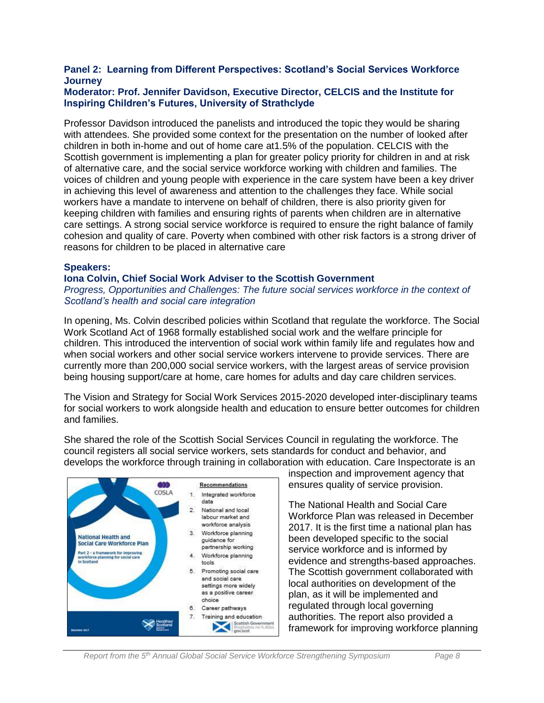# **Panel 2: Learning from Different Perspectives: Scotland's Social Services Workforce Journey**

#### **Moderator: Prof. Jennifer Davidson, Executive Director, CELCIS and the Institute for Inspiring Children's Futures, University of Strathclyde**

Professor Davidson introduced the panelists and introduced the topic they would be sharing with attendees. She provided some context for the presentation on the number of looked after children in both in-home and out of home care at1.5% of the population. CELCIS with the Scottish government is implementing a plan for greater policy priority for children in and at risk of alternative care, and the social service workforce working with children and families. The voices of children and young people with experience in the care system have been a key driver in achieving this level of awareness and attention to the challenges they face. While social workers have a mandate to intervene on behalf of children, there is also priority given for keeping children with families and ensuring rights of parents when children are in alternative care settings. A strong social service workforce is required to ensure the right balance of family cohesion and quality of care. Poverty when combined with other risk factors is a strong driver of reasons for children to be placed in alternative care

#### **Speakers:**

#### **Iona Colvin, Chief Social Work Adviser to the Scottish Government** *Progress, Opportunities and Challenges: The future social services workforce in the context of Scotland's health and social care integration*

In opening, Ms. Colvin described policies within Scotland that regulate the workforce. The Social Work Scotland Act of 1968 formally established social work and the welfare principle for children. This introduced the intervention of social work within family life and regulates how and when social workers and other social service workers intervene to provide services. There are currently more than 200,000 social service workers, with the largest areas of service provision being housing support/care at home, care homes for adults and day care children services.

The Vision and Strategy for Social Work Services 2015-2020 developed inter-disciplinary teams for social workers to work alongside health and education to ensure better outcomes for children and families.

She shared the role of the Scottish Social Services Council in regulating the workforce. The council registers all social service workers, sets standards for conduct and behavior, and develops the workforce through training in collaboration with education. Care Inspectorate is an



inspection and improvement agency that ensures quality of service provision.

The National Health and Social Care Workforce Plan was released in December 2017. It is the first time a national plan has been developed specific to the social service workforce and is informed by evidence and strengths-based approaches. The Scottish government collaborated with local authorities on development of the plan, as it will be implemented and regulated through local governing authorities. The report also provided a framework for improving workforce planning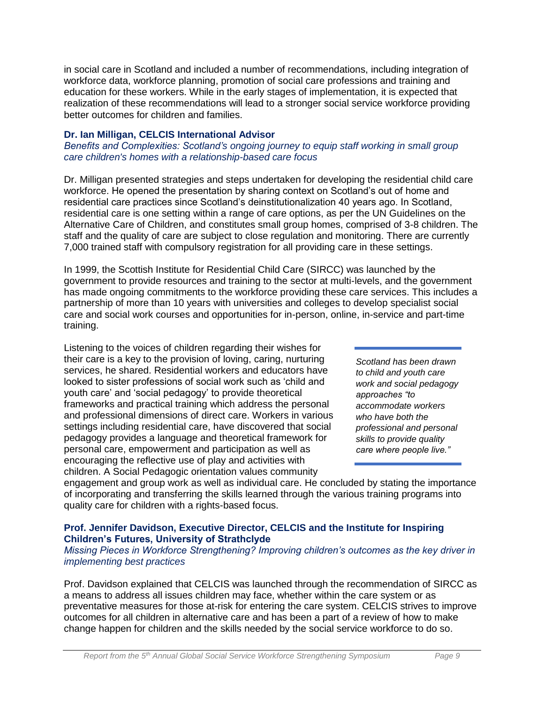in social care in Scotland and included a number of recommendations, including integration of workforce data, workforce planning, promotion of social care professions and training and education for these workers. While in the early stages of implementation, it is expected that realization of these recommendations will lead to a stronger social service workforce providing better outcomes for children and families.

# **Dr. Ian Milligan, CELCIS International Advisor**

*Benefits and Complexities: Scotland's ongoing journey to equip staff working in small group care children's homes with a relationship-based care focus*

Dr. Milligan presented strategies and steps undertaken for developing the residential child care workforce. He opened the presentation by sharing context on Scotland's out of home and residential care practices since Scotland's deinstitutionalization 40 years ago. In Scotland, residential care is one setting within a range of care options, as per the UN Guidelines on the Alternative Care of Children, and constitutes small group homes, comprised of 3-8 children. The staff and the quality of care are subject to close regulation and monitoring. There are currently 7,000 trained staff with compulsory registration for all providing care in these settings.

In 1999, the Scottish Institute for Residential Child Care (SIRCC) was launched by the government to provide resources and training to the sector at multi-levels, and the government has made ongoing commitments to the workforce providing these care services. This includes a partnership of more than 10 years with universities and colleges to develop specialist social care and social work courses and opportunities for in-person, online, in-service and part-time training.

Listening to the voices of children regarding their wishes for their care is a key to the provision of loving, caring, nurturing services, he shared. Residential workers and educators have looked to sister professions of social work such as 'child and youth care' and 'social pedagogy' to provide theoretical frameworks and practical training which address the personal and professional dimensions of direct care. Workers in various settings including residential care, have discovered that social pedagogy provides a language and theoretical framework for personal care, empowerment and participation as well as encouraging the reflective use of play and activities with children. A Social Pedagogic orientation values community

*Scotland has been drawn to child and youth care work and social pedagogy approaches "to accommodate workers who have both the professional and personal skills to provide quality care where people live."*

engagement and group work as well as individual care. He concluded by stating the importance of incorporating and transferring the skills learned through the various training programs into quality care for children with a rights-based focus.

# **Prof. Jennifer Davidson, Executive Director, CELCIS and the Institute for Inspiring Children's Futures, University of Strathclyde**

#### *Missing Pieces in Workforce Strengthening? Improving children's outcomes as the key driver in implementing best practices*

Prof. Davidson explained that CELCIS was launched through the recommendation of SIRCC as a means to address all issues children may face, whether within the care system or as preventative measures for those at-risk for entering the care system. CELCIS strives to improve outcomes for all children in alternative care and has been a part of a review of how to make change happen for children and the skills needed by the social service workforce to do so.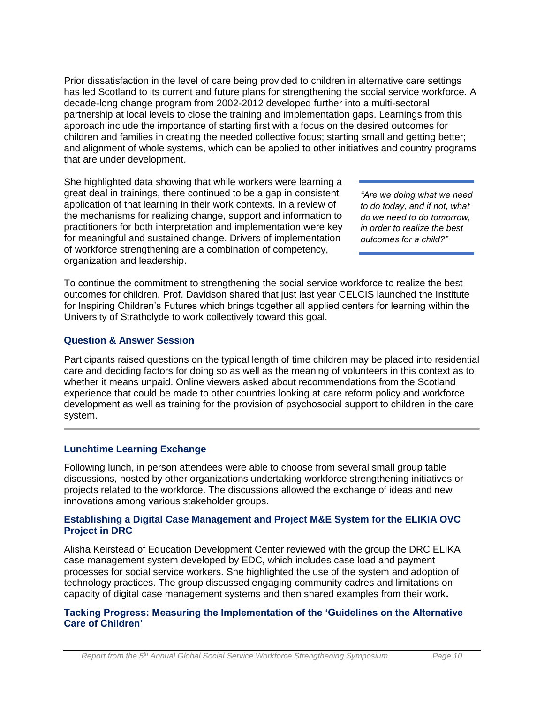Prior dissatisfaction in the level of care being provided to children in alternative care settings has led Scotland to its current and future plans for strengthening the social service workforce. A decade-long change program from 2002-2012 developed further into a multi-sectoral partnership at local levels to close the training and implementation gaps. Learnings from this approach include the importance of starting first with a focus on the desired outcomes for children and families in creating the needed collective focus; starting small and getting better; and alignment of whole systems, which can be applied to other initiatives and country programs that are under development.

She highlighted data showing that while workers were learning a great deal in trainings, there continued to be a gap in consistent application of that learning in their work contexts. In a review of the mechanisms for realizing change, support and information to practitioners for both interpretation and implementation were key for meaningful and sustained change. Drivers of implementation of workforce strengthening are a combination of competency, organization and leadership.

*"Are we doing what we need to do today, and if not, what do we need to do tomorrow, in order to realize the best outcomes for a child?"*

To continue the commitment to strengthening the social service workforce to realize the best outcomes for children, Prof. Davidson shared that just last year CELCIS launched the Institute for Inspiring Children's Futures which brings together all applied centers for learning within the University of Strathclyde to work collectively toward this goal.

# **Question & Answer Session**

Participants raised questions on the typical length of time children may be placed into residential care and deciding factors for doing so as well as the meaning of volunteers in this context as to whether it means unpaid. Online viewers asked about recommendations from the Scotland experience that could be made to other countries looking at care reform policy and workforce development as well as training for the provision of psychosocial support to children in the care system.

# **Lunchtime Learning Exchange**

Following lunch, in person attendees were able to choose from several small group table discussions, hosted by other organizations undertaking workforce strengthening initiatives or projects related to the workforce. The discussions allowed the exchange of ideas and new innovations among various stakeholder groups.

### **Establishing a Digital Case Management and Project M&E System for the ELIKIA OVC Project in DRC**

Alisha Keirstead of Education Development Center reviewed with the group the DRC ELIKA case management system developed by EDC, which includes case load and payment processes for social service workers. She highlighted the use of the system and adoption of technology practices. The group discussed engaging community cadres and limitations on capacity of digital case management systems and then shared examples from their work**.**

### **Tacking Progress: Measuring the Implementation of the 'Guidelines on the Alternative Care of Children'**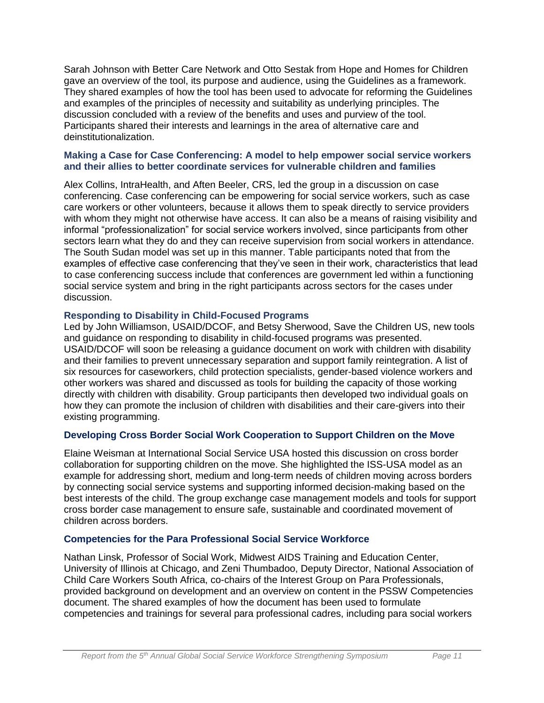Sarah Johnson with Better Care Network and Otto Sestak from Hope and Homes for Children gave an overview of the tool, its purpose and audience, using the Guidelines as a framework. They shared examples of how the tool has been used to advocate for reforming the Guidelines and examples of the principles of necessity and suitability as underlying principles. The discussion concluded with a review of the benefits and uses and purview of the tool. Participants shared their interests and learnings in the area of alternative care and deinstitutionalization.

#### **Making a Case for Case Conferencing: A model to help empower social service workers and their allies to better coordinate services for vulnerable children and families**

Alex Collins, IntraHealth, and Aften Beeler, CRS, led the group in a discussion on case conferencing. Case conferencing can be empowering for social service workers, such as case care workers or other volunteers, because it allows them to speak directly to service providers with whom they might not otherwise have access. It can also be a means of raising visibility and informal "professionalization" for social service workers involved, since participants from other sectors learn what they do and they can receive supervision from social workers in attendance. The South Sudan model was set up in this manner. Table participants noted that from the examples of effective case conferencing that they've seen in their work, characteristics that lead to case conferencing success include that conferences are government led within a functioning social service system and bring in the right participants across sectors for the cases under discussion.

### **Responding to Disability in Child-Focused Programs**

Led by John Williamson, USAID/DCOF, and Betsy Sherwood, Save the Children US, new tools and guidance on responding to disability in child-focused programs was presented. USAID/DCOF will soon be releasing a guidance document on work with children with disability and their families to prevent unnecessary separation and support family reintegration. A list of six resources for caseworkers, child protection specialists, gender-based violence workers and other workers was shared and discussed as tools for building the capacity of those working directly with children with disability. Group participants then developed two individual goals on how they can promote the inclusion of children with disabilities and their care-givers into their existing programming.

# **Developing Cross Border Social Work Cooperation to Support Children on the Move**

Elaine Weisman at International Social Service USA hosted this discussion on cross border collaboration for supporting children on the move. She highlighted the ISS-USA model as an example for addressing short, medium and long-term needs of children moving across borders by connecting social service systems and supporting informed decision-making based on the best interests of the child. The group exchange case management models and tools for support cross border case management to ensure safe, sustainable and coordinated movement of children across borders.

### **Competencies for the Para Professional Social Service Workforce**

Nathan Linsk, Professor of Social Work, Midwest AIDS Training and Education Center, University of Illinois at Chicago, and Zeni Thumbadoo, Deputy Director, National Association of Child Care Workers South Africa, co-chairs of the Interest Group on Para Professionals, provided background on development and an overview on content in the PSSW Competencies document. The shared examples of how the document has been used to formulate competencies and trainings for several para professional cadres, including para social workers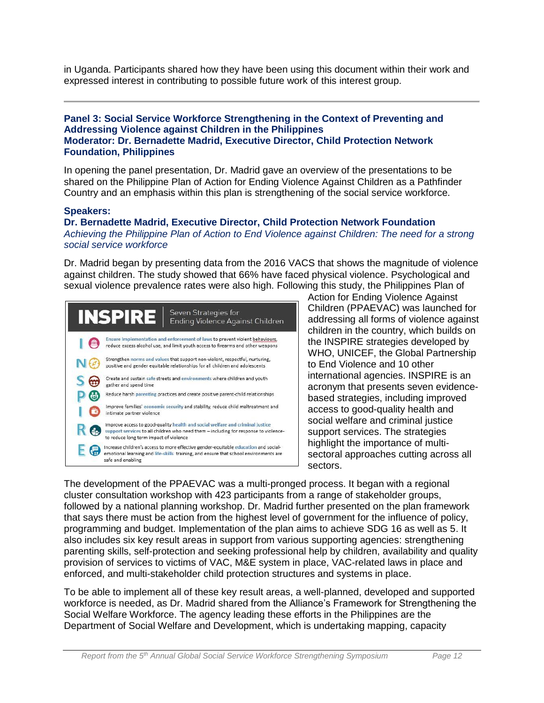in Uganda. Participants shared how they have been using this document within their work and expressed interest in contributing to possible future work of this interest group.

#### **Panel 3: Social Service Workforce Strengthening in the Context of Preventing and Addressing Violence against Children in the Philippines Moderator: Dr. Bernadette Madrid, Executive Director, Child Protection Network Foundation, Philippines**

In opening the panel presentation, Dr. Madrid gave an overview of the presentations to be shared on the Philippine Plan of Action for Ending Violence Against Children as a Pathfinder Country and an emphasis within this plan is strengthening of the social service workforce.

#### **Speakers:**

**Dr. Bernadette Madrid, Executive Director, Child Protection Network Foundation** *Achieving the Philippine Plan of Action to End Violence against Children: The need for a strong social service workforce*

Dr. Madrid began by presenting data from the 2016 VACS that shows the magnitude of violence against children. The study showed that 66% have faced physical violence. Psychological and sexual violence prevalence rates were also high. Following this study, the Philippines Plan of



Action for Ending Violence Against Children (PPAEVAC) was launched for addressing all forms of violence against children in the country, which builds on the INSPIRE strategies developed by WHO, UNICEF, the Global Partnership to End Violence and 10 other international agencies. INSPIRE is an acronym that presents seven evidencebased strategies, including improved access to good-quality health and social welfare and criminal justice support services. The strategies highlight the importance of multisectoral approaches cutting across all sectors.

The development of the PPAEVAC was a multi-pronged process. It began with a regional cluster consultation workshop with 423 participants from a range of stakeholder groups, followed by a national planning workshop. Dr. Madrid further presented on the plan framework that says there must be action from the highest level of government for the influence of policy, programming and budget. Implementation of the plan aims to achieve SDG 16 as well as 5. It also includes six key result areas in support from various supporting agencies: strengthening parenting skills, self-protection and seeking professional help by children, availability and quality provision of services to victims of VAC, M&E system in place, VAC-related laws in place and enforced, and multi-stakeholder child protection structures and systems in place.

To be able to implement all of these key result areas, a well-planned, developed and supported workforce is needed, as Dr. Madrid shared from the Alliance's Framework for Strengthening the Social Welfare Workforce. The agency leading these efforts in the Philippines are the Department of Social Welfare and Development, which is undertaking mapping, capacity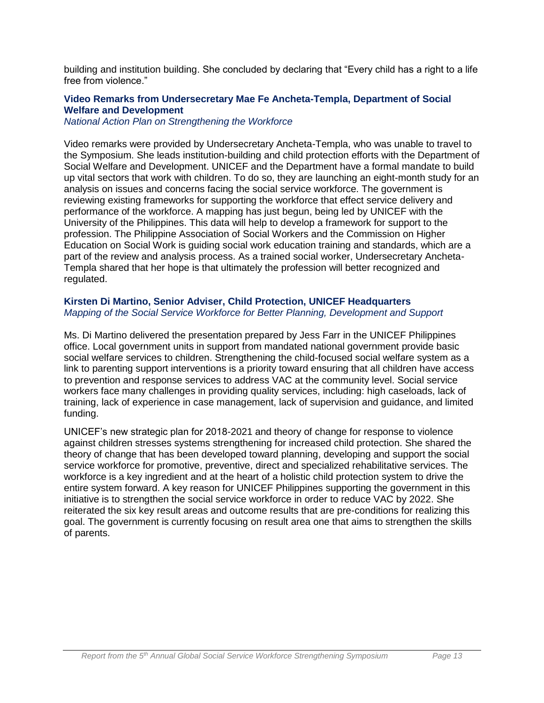building and institution building. She concluded by declaring that "Every child has a right to a life free from violence."

# **Video Remarks from Undersecretary Mae Fe Ancheta-Templa, Department of Social Welfare and Development**

*National Action Plan on Strengthening the Workforce*

Video remarks were provided by Undersecretary Ancheta-Templa, who was unable to travel to the Symposium. She leads institution-building and child protection efforts with the Department of Social Welfare and Development. UNICEF and the Department have a formal mandate to build up vital sectors that work with children. To do so, they are launching an eight-month study for an analysis on issues and concerns facing the social service workforce. The government is reviewing existing frameworks for supporting the workforce that effect service delivery and performance of the workforce. A mapping has just begun, being led by UNICEF with the University of the Philippines. This data will help to develop a framework for support to the profession. The Philippine Association of Social Workers and the Commission on Higher Education on Social Work is guiding social work education training and standards, which are a part of the review and analysis process. As a trained social worker, Undersecretary Ancheta-Templa shared that her hope is that ultimately the profession will better recognized and regulated.

# **Kirsten Di Martino, Senior Adviser, Child Protection, UNICEF Headquarters** *Mapping of the Social Service Workforce for Better Planning, Development and Support*

Ms. Di Martino delivered the presentation prepared by Jess Farr in the UNICEF Philippines office. Local government units in support from mandated national government provide basic social welfare services to children. Strengthening the child-focused social welfare system as a link to parenting support interventions is a priority toward ensuring that all children have access to prevention and response services to address VAC at the community level. Social service workers face many challenges in providing quality services, including: high caseloads, lack of training, lack of experience in case management, lack of supervision and guidance, and limited funding.

UNICEF's new strategic plan for 2018-2021 and theory of change for response to violence against children stresses systems strengthening for increased child protection. She shared the theory of change that has been developed toward planning, developing and support the social service workforce for promotive, preventive, direct and specialized rehabilitative services. The workforce is a key ingredient and at the heart of a holistic child protection system to drive the entire system forward. A key reason for UNICEF Philippines supporting the government in this initiative is to strengthen the social service workforce in order to reduce VAC by 2022. She reiterated the six key result areas and outcome results that are pre-conditions for realizing this goal. The government is currently focusing on result area one that aims to strengthen the skills of parents.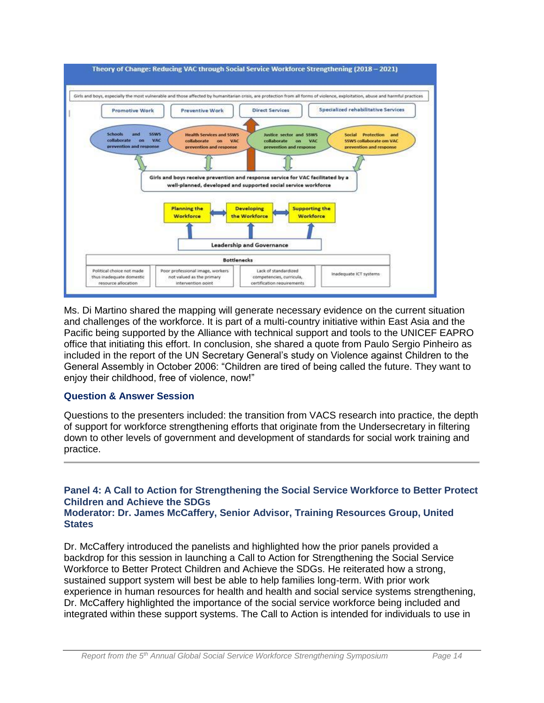

Ms. Di Martino shared the mapping will generate necessary evidence on the current situation and challenges of the workforce. It is part of a multi-country initiative within East Asia and the Pacific being supported by the Alliance with technical support and tools to the UNICEF EAPRO office that initiating this effort. In conclusion, she shared a quote from Paulo Sergio Pinheiro as included in the report of the UN Secretary General's study on Violence against Children to the General Assembly in October 2006: "Children are tired of being called the future. They want to enjoy their childhood, free of violence, now!"

### **Question & Answer Session**

Questions to the presenters included: the transition from VACS research into practice, the depth of support for workforce strengthening efforts that originate from the Undersecretary in filtering down to other levels of government and development of standards for social work training and practice.

#### **Panel 4: A Call to Action for Strengthening the Social Service Workforce to Better Protect Children and Achieve the SDGs Moderator: Dr. James McCaffery, Senior Advisor, Training Resources Group, United States**

Dr. McCaffery introduced the panelists and highlighted how the prior panels provided a backdrop for this session in launching a Call to Action for Strengthening the Social Service Workforce to Better Protect Children and Achieve the SDGs. He reiterated how a strong, sustained support system will best be able to help families long-term. With prior work experience in human resources for health and health and social service systems strengthening, Dr. McCaffery highlighted the importance of the social service workforce being included and integrated within these support systems. The Call to Action is intended for individuals to use in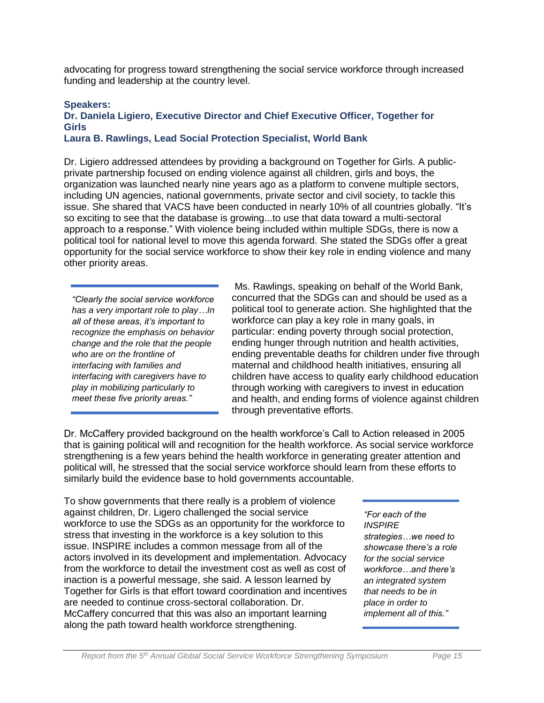advocating for progress toward strengthening the social service workforce through increased funding and leadership at the country level.

#### **Speakers:**

# **Dr. Daniela Ligiero, Executive Director and Chief Executive Officer, Together for Girls**

#### **Laura B. Rawlings, Lead Social Protection Specialist, World Bank**

Dr. Ligiero addressed attendees by providing a background on Together for Girls. A publicprivate partnership focused on ending violence against all children, girls and boys, the organization was launched nearly nine years ago as a platform to convene multiple sectors, including UN agencies, national governments, private sector and civil society, to tackle this issue. She shared that VACS have been conducted in nearly 10% of all countries globally. "It's so exciting to see that the database is growing...to use that data toward a multi-sectoral approach to a response." With violence being included within multiple SDGs, there is now a political tool for national level to move this agenda forward. She stated the SDGs offer a great opportunity for the social service workforce to show their key role in ending violence and many other priority areas.

*"Clearly the social service workforce has a very important role to play…In all of these areas, it's important to recognize the emphasis on behavior change and the role that the people who are on the frontline of interfacing with families and interfacing with caregivers have to play in mobilizing particularly to meet these five priority areas."*

Ms. Rawlings, speaking on behalf of the World Bank, concurred that the SDGs can and should be used as a political tool to generate action. She highlighted that the workforce can play a key role in many goals, in particular: ending poverty through social protection, ending hunger through nutrition and health activities, ending preventable deaths for children under five through maternal and childhood health initiatives, ensuring all children have access to quality early childhood education through working with caregivers to invest in education and health, and ending forms of violence against children through preventative efforts.

Dr. McCaffery provided background on the health workforce's Call to Action released in 2005 that is gaining political will and recognition for the health workforce. As social service workforce strengthening is a few years behind the health workforce in generating greater attention and political will, he stressed that the social service workforce should learn from these efforts to similarly build the evidence base to hold governments accountable.

To show governments that there really is a problem of violence against children, Dr. Ligero challenged the social service workforce to use the SDGs as an opportunity for the workforce to stress that investing in the workforce is a key solution to this issue. INSPIRE includes a common message from all of the actors involved in its development and implementation. Advocacy from the workforce to detail the investment cost as well as cost of inaction is a powerful message, she said. A lesson learned by Together for Girls is that effort toward coordination and incentives are needed to continue cross-sectoral collaboration. Dr. McCaffery concurred that this was also an important learning along the path toward health workforce strengthening.

*"For each of the INSPIRE strategies…we need to showcase there's a role for the social service workforce…and there's an integrated system that needs to be in place in order to implement all of this."*